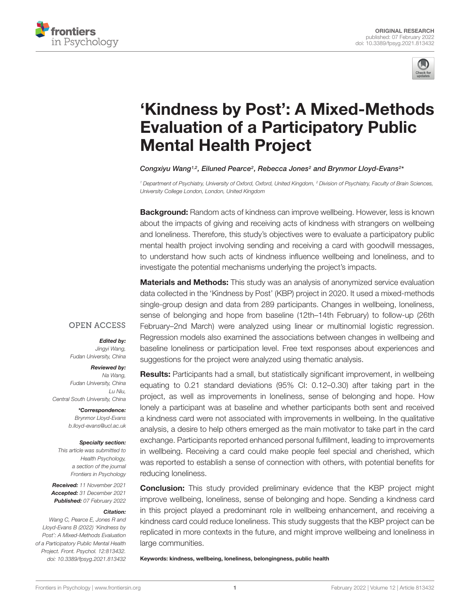



# ['Kindness by Post': A Mixed-Methods](https://www.frontiersin.org/articles/10.3389/fpsyg.2021.813432/full) Evaluation of a Participatory Public Mental Health Project

Congxiyu Wang<sup>1,2</sup>, Eiluned Pearce<sup>2</sup>, Rebecca Jones<sup>2</sup> and Brynmor Lloyd-Evans<sup>2\*</sup>

<sup>1</sup> Department of Psychiatry, University of Oxford, Oxford, United Kingdom, <sup>2</sup> Division of Psychiatry, Faculty of Brain Sciences, University College London, London, United Kingdom

**Background:** Random acts of kindness can improve wellbeing. However, less is known about the impacts of giving and receiving acts of kindness with strangers on wellbeing and loneliness. Therefore, this study's objectives were to evaluate a participatory public mental health project involving sending and receiving a card with goodwill messages, to understand how such acts of kindness influence wellbeing and loneliness, and to investigate the potential mechanisms underlying the project's impacts.

**Materials and Methods:** This study was an analysis of anonymized service evaluation data collected in the 'Kindness by Post' (KBP) project in 2020. It used a mixed-methods single-group design and data from 289 participants. Changes in wellbeing, loneliness, sense of belonging and hope from baseline (12th–14th February) to follow-up (26th February–2nd March) were analyzed using linear or multinomial logistic regression. Regression models also examined the associations between changes in wellbeing and baseline loneliness or participation level. Free text responses about experiences and suggestions for the project were analyzed using thematic analysis.

# **OPEN ACCESS**

#### Edited by:

Jingyi Wang, Fudan University, China

#### Reviewed by:

Na Wang, Fudan University, China Lu Niu, Central South University, China

> \*Correspondence: Brynmor Lloyd-Evans b.lloyd-evans@ucl.ac.uk

#### Specialty section:

This article was submitted to Health Psychology, a section of the journal Frontiers in Psychology

Received: 11 November 2021 Accepted: 31 December 2021 Published: 07 February 2022

#### Citation:

Wang C, Pearce E, Jones R and Lloyd-Evans B (2022) 'Kindness by Post': A Mixed-Methods Evaluation of a Participatory Public Mental Health Project. Front. Psychol. 12:813432. doi: [10.3389/fpsyg.2021.813432](https://doi.org/10.3389/fpsyg.2021.813432)

**Results:** Participants had a small, but statistically significant improvement, in wellbeing equating to 0.21 standard deviations (95% CI: 0.12–0.30) after taking part in the project, as well as improvements in loneliness, sense of belonging and hope. How lonely a participant was at baseline and whether participants both sent and received a kindness card were not associated with improvements in wellbeing. In the qualitative analysis, a desire to help others emerged as the main motivator to take part in the card exchange. Participants reported enhanced personal fulfillment, leading to improvements in wellbeing. Receiving a card could make people feel special and cherished, which was reported to establish a sense of connection with others, with potential benefits for reducing loneliness.

**Conclusion:** This study provided preliminary evidence that the KBP project might improve wellbeing, loneliness, sense of belonging and hope. Sending a kindness card in this project played a predominant role in wellbeing enhancement, and receiving a kindness card could reduce loneliness. This study suggests that the KBP project can be replicated in more contexts in the future, and might improve wellbeing and loneliness in large communities.

Keywords: kindness, wellbeing, loneliness, belongingness, public health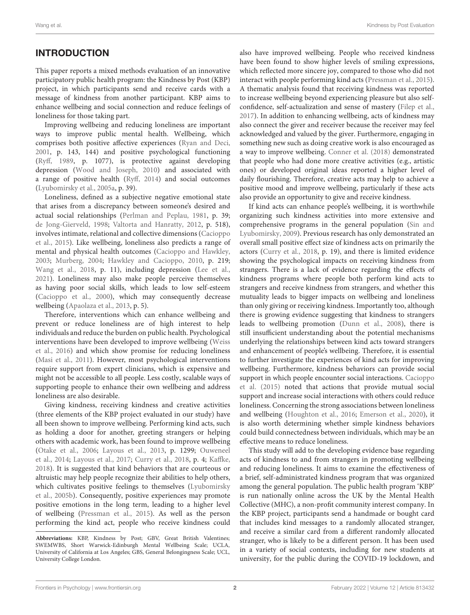# **INTRODUCTION**

This paper reports a mixed methods evaluation of an innovative participatory public health program: the Kindness by Post (KBP) project, in which participants send and receive cards with a message of kindness from another participant. KBP aims to enhance wellbeing and social connection and reduce feelings of loneliness for those taking part.

Improving wellbeing and reducing loneliness are important ways to improve public mental health. Wellbeing, which comprises both positive affective experiences [\(Ryan and Deci,](#page-12-0) [2001,](#page-12-0) p. 143, 144) and positive psychological functioning [\(Ryff,](#page-12-1) [1989,](#page-12-1) p. 1077), is protective against developing depression [\(Wood and Joseph,](#page-12-2) [2010\)](#page-12-2) and associated with a range of positive health [\(Ryff,](#page-12-3) [2014\)](#page-12-3) and social outcomes [\(Lyubomirsky et al.,](#page-11-0) [2005a,](#page-11-0) p. 39).

Loneliness, defined as a subjective negative emotional state that arises from a discrepancy between someone's desired and actual social relationships [\(Perlman and Peplau,](#page-11-1) [1981,](#page-11-1) p. 39; [de Jong-Gierveld,](#page-11-2) [1998;](#page-11-2) [Valtorta and Hanratty,](#page-12-4) [2012,](#page-12-4) p. 518), involves intimate, relational and collective dimensions [\(Cacioppo](#page-11-3) [et al.,](#page-11-3) [2015\)](#page-11-3). Like wellbeing, loneliness also predicts a range of mental and physical health outcomes [\(Cacioppo and Hawkley,](#page-11-4) [2003;](#page-11-4) [Murberg,](#page-11-5) [2004;](#page-11-5) [Hawkley and Cacioppo,](#page-11-6) [2010,](#page-11-6) p. 219; [Wang et al.,](#page-12-5) [2018,](#page-12-5) p. 11), including depression [\(Lee et al.,](#page-11-7) [2021\)](#page-11-7). Loneliness may also make people perceive themselves as having poor social skills, which leads to low self-esteem [\(Cacioppo et al.,](#page-11-8) [2000\)](#page-11-8), which may consequently decrease wellbeing [\(Apaolaza et al.,](#page-11-9) [2013,](#page-11-9) p. 5).

Therefore, interventions which can enhance wellbeing and prevent or reduce loneliness are of high interest to help individuals and reduce the burden on public health. Psychological interventions have been developed to improve wellbeing [\(Weiss](#page-12-6) [et al.,](#page-12-6) [2016\)](#page-12-6) and which show promise for reducing loneliness [\(Masi et al.,](#page-11-10) [2011\)](#page-11-10). However, most psychological interventions require support from expert clinicians, which is expensive and might not be accessible to all people. Less costly, scalable ways of supporting people to enhance their own wellbeing and address loneliness are also desirable.

Giving kindness, receiving kindness and creative activities (three elements of the KBP project evaluated in our study) have all been shown to improve wellbeing. Performing kind acts, such as holding a door for another, greeting strangers or helping others with academic work, has been found to improve wellbeing [\(Otake et al.,](#page-11-11) [2006;](#page-11-11) [Layous et al.,](#page-11-12) [2013,](#page-11-12) p. 1299; [Ouweneel](#page-11-13) [et al.,](#page-11-13) [2014;](#page-11-13) [Layous et al.,](#page-11-14) [2017;](#page-11-14) [Curry et al.,](#page-11-15) [2018,](#page-11-15) p. 4; [Kaffke,](#page-11-16) [2018\)](#page-11-16). It is suggested that kind behaviors that are courteous or altruistic may help people recognize their abilities to help others, which cultivates positive feelings to themselves [\(Lyubomirsky](#page-11-17) [et al.,](#page-11-17) [2005b\)](#page-11-17). Consequently, positive experiences may promote positive emotions in the long term, leading to a higher level of wellbeing [\(Pressman et al.,](#page-12-7) [2015\)](#page-12-7). As well as the person performing the kind act, people who receive kindness could also have improved wellbeing. People who received kindness have been found to show higher levels of smiling expressions, which reflected more sincere joy, compared to those who did not interact with people performing kind acts [\(Pressman et al.,](#page-12-7) [2015\)](#page-12-7). A thematic analysis found that receiving kindness was reported to increase wellbeing beyond experiencing pleasure but also selfconfidence, self-actualization and sense of mastery [\(Filep et al.,](#page-11-18) [2017\)](#page-11-18). In addition to enhancing wellbeing, acts of kindness may also connect the giver and receiver because the receiver may feel acknowledged and valued by the giver. Furthermore, engaging in something new such as doing creative work is also encouraged as a way to improve wellbeing. [Conner et al.](#page-11-19) [\(2018\)](#page-11-19) demonstrated that people who had done more creative activities (e.g., artistic ones) or developed original ideas reported a higher level of daily flourishing. Therefore, creative acts may help to achieve a positive mood and improve wellbeing, particularly if these acts also provide an opportunity to give and receive kindness.

If kind acts can enhance people's wellbeing, it is worthwhile organizing such kindness activities into more extensive and comprehensive programs in the general population [\(Sin and](#page-12-8) [Lyubomirsky,](#page-12-8) [2009\)](#page-12-8). Previous research has only demonstrated an overall small positive effect size of kindness acts on primarily the actors [\(Curry et al.,](#page-11-15) [2018,](#page-11-15) p. 19), and there is limited evidence showing the psychological impacts on receiving kindness from strangers. There is a lack of evidence regarding the effects of kindness programs where people both perform kind acts to strangers and receive kindness from strangers, and whether this mutuality leads to bigger impacts on wellbeing and loneliness than only giving or receiving kindness. Importantly too, although there is growing evidence suggesting that kindness to strangers leads to wellbeing promotion [\(Dunn et al.,](#page-11-20) [2008\)](#page-11-20), there is still insufficient understanding about the potential mechanisms underlying the relationships between kind acts toward strangers and enhancement of people's wellbeing. Therefore, it is essential to further investigate the experiences of kind acts for improving wellbeing. Furthermore, kindness behaviors can provide social support in which people encounter social interactions. [Cacioppo](#page-11-3) [et al.](#page-11-3) [\(2015\)](#page-11-3) noted that actions that provide mutual social support and increase social interactions with others could reduce loneliness. Concerning the strong associations between loneliness and wellbeing [\(Houghton et al.,](#page-11-21) [2016;](#page-11-21) [Emerson et al.,](#page-11-22) [2020\)](#page-11-22), it is also worth determining whether simple kindness behaviors could build connectedness between individuals, which may be an effective means to reduce loneliness.

This study will add to the developing evidence base regarding acts of kindness to and from strangers in promoting wellbeing and reducing loneliness. It aims to examine the effectiveness of a brief, self-administrated kindness program that was organized among the general population. The public health program 'KBP' is run nationally online across the UK by the Mental Health Collective (MHC), a non-profit community interest company. In the KBP project, participants send a handmade or bought card that includes kind messages to a randomly allocated stranger, and receive a similar card from a different randomly allocated stranger, who is likely to be a different person. It has been used in a variety of social contexts, including for new students at university, for the public during the COVID-19 lockdown, and

**Abbreviations:** KBP, Kindness by Post; GBV, Great British Valentines; SWEMWBS, Short Warwick-Edinburgh Mental Wellbeing Scale; UCLA, University of California at Los Angeles; GBS, General Belongingness Scale; UCL, University College London.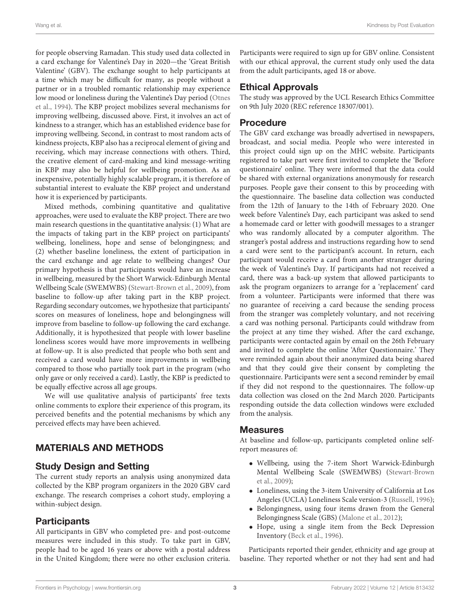for people observing Ramadan. This study used data collected in a card exchange for Valentine's Day in 2020—the 'Great British Valentine' (GBV). The exchange sought to help participants at a time which may be difficult for many, as people without a partner or in a troubled romantic relationship may experience low mood or loneliness during the Valentine's Day period [\(Otnes](#page-11-23) [et al.,](#page-11-23) [1994\)](#page-11-23). The KBP project mobilizes several mechanisms for improving wellbeing, discussed above. First, it involves an act of kindness to a stranger, which has an established evidence base for improving wellbeing. Second, in contrast to most random acts of kindness projects, KBP also has a reciprocal element of giving and receiving, which may increase connections with others. Third, the creative element of card-making and kind message-writing in KBP may also be helpful for wellbeing promotion. As an inexpensive, potentially highly scalable program, it is therefore of substantial interest to evaluate the KBP project and understand how it is experienced by participants.

Mixed methods, combining quantitative and qualitative approaches, were used to evaluate the KBP project. There are two main research questions in the quantitative analysis: (1) What are the impacts of taking part in the KBP project on participants' wellbeing, loneliness, hope and sense of belongingness; and (2) whether baseline loneliness, the extent of participation in the card exchange and age relate to wellbeing changes? Our primary hypothesis is that participants would have an increase in wellbeing, measured by the Short Warwick-Edinburgh Mental Wellbeing Scale (SWEMWBS) [\(Stewart-Brown et al.,](#page-12-9) [2009\)](#page-12-9), from baseline to follow-up after taking part in the KBP project. Regarding secondary outcomes, we hypothesize that participants' scores on measures of loneliness, hope and belongingness will improve from baseline to follow-up following the card exchange. Additionally, it is hypothesized that people with lower baseline loneliness scores would have more improvements in wellbeing at follow-up. It is also predicted that people who both sent and received a card would have more improvements in wellbeing compared to those who partially took part in the program (who only gave or only received a card). Lastly, the KBP is predicted to be equally effective across all age groups.

We will use qualitative analysis of participants' free texts online comments to explore their experience of this program, its perceived benefits and the potential mechanisms by which any perceived effects may have been achieved.

# MATERIALS AND METHODS

# Study Design and Setting

The current study reports an analysis using anonymized data collected by the KBP program organizers in the 2020 GBV card exchange. The research comprises a cohort study, employing a within-subject design.

# **Participants**

All participants in GBV who completed pre- and post-outcome measures were included in this study. To take part in GBV, people had to be aged 16 years or above with a postal address in the United Kingdom; there were no other exclusion criteria. Participants were required to sign up for GBV online. Consistent with our ethical approval, the current study only used the data from the adult participants, aged 18 or above.

# Ethical Approvals

The study was approved by the UCL Research Ethics Committee on 9th July 2020 (REC reference 18307/001).

# Procedure

The GBV card exchange was broadly advertised in newspapers, broadcast, and social media. People who were interested in this project could sign up on the MHC website. Participants registered to take part were first invited to complete the 'Before questionnaire' online. They were informed that the data could be shared with external organizations anonymously for research purposes. People gave their consent to this by proceeding with the questionnaire. The baseline data collection was conducted from the 12th of January to the 14th of February 2020. One week before Valentine's Day, each participant was asked to send a homemade card or letter with goodwill messages to a stranger who was randomly allocated by a computer algorithm. The stranger's postal address and instructions regarding how to send a card were sent to the participant's account. In return, each participant would receive a card from another stranger during the week of Valentine's Day. If participants had not received a card, there was a back-up system that allowed participants to ask the program organizers to arrange for a 'replacement' card from a volunteer. Participants were informed that there was no guarantee of receiving a card because the sending process from the stranger was completely voluntary, and not receiving a card was nothing personal. Participants could withdraw from the project at any time they wished. After the card exchange, participants were contacted again by email on the 26th February and invited to complete the online 'After Questionnaire.' They were reminded again about their anonymized data being shared and that they could give their consent by completing the questionnaire. Participants were sent a second reminder by email if they did not respond to the questionnaires. The follow-up data collection was closed on the 2nd March 2020. Participants responding outside the data collection windows were excluded from the analysis.

# **Measures**

At baseline and follow-up, participants completed online selfreport measures of:

- Wellbeing, using the 7-item Short Warwick-Edinburgh Mental Wellbeing Scale (SWEMWBS) [\(Stewart-Brown](#page-12-9) [et al.,](#page-12-9) [2009\)](#page-12-9);
- Loneliness, using the 3-item University of California at Los Angeles (UCLA) Loneliness Scale version-3 [\(Russell,](#page-12-10) [1996\)](#page-12-10);
- Belongingness, using four items drawn from the General Belongingness Scale (GBS) [\(Malone et al.,](#page-11-24) [2012\)](#page-11-24);
- Hope, using a single item from the Beck Depression Inventory [\(Beck et al.,](#page-11-25) [1996\)](#page-11-25).

Participants reported their gender, ethnicity and age group at baseline. They reported whether or not they had sent and had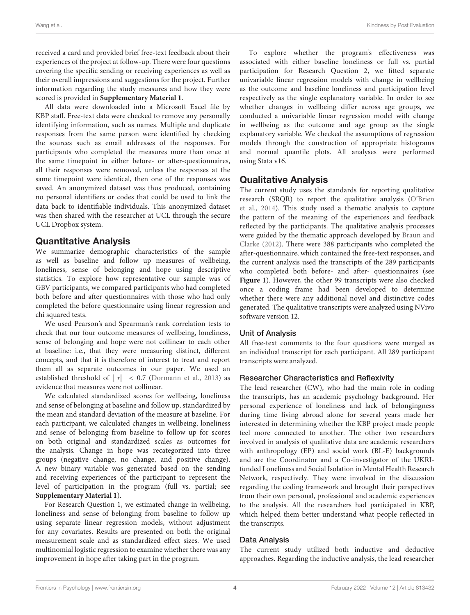received a card and provided brief free-text feedback about their experiences of the project at follow-up. There were four questions covering the specific sending or receiving experiences as well as their overall impressions and suggestions for the project. Further information regarding the study measures and how they were scored is provided in **[Supplementary Material 1](#page-10-0)**.

All data were downloaded into a Microsoft Excel file by KBP staff. Free-text data were checked to remove any personally identifying information, such as names. Multiple and duplicate responses from the same person were identified by checking the sources such as email addresses of the responses. For participants who completed the measures more than once at the same timepoint in either before- or after-questionnaires, all their responses were removed, unless the responses at the same timepoint were identical, then one of the responses was saved. An anonymized dataset was thus produced, containing no personal identifiers or codes that could be used to link the data back to identifiable individuals. This anonymized dataset was then shared with the researcher at UCL through the secure UCL Dropbox system.

### Quantitative Analysis

We summarize demographic characteristics of the sample as well as baseline and follow up measures of wellbeing, loneliness, sense of belonging and hope using descriptive statistics. To explore how representative our sample was of GBV participants, we compared participants who had completed both before and after questionnaires with those who had only completed the before questionnaire using linear regression and chi squared tests.

We used Pearson's and Spearman's rank correlation tests to check that our four outcome measures of wellbeing, loneliness, sense of belonging and hope were not collinear to each other at baseline: i.e., that they were measuring distinct, different concepts, and that it is therefore of interest to treat and report them all as separate outcomes in our paper. We used an established threshold of  $|r| < 0.7$  [\(Dormann et al.,](#page-11-26) [2013\)](#page-11-26) as evidence that measures were not collinear.

We calculated standardized scores for wellbeing, loneliness and sense of belonging at baseline and follow up, standardized by the mean and standard deviation of the measure at baseline. For each participant, we calculated changes in wellbeing, loneliness and sense of belonging from baseline to follow up for scores on both original and standardized scales as outcomes for the analysis. Change in hope was recategorized into three groups (negative change, no change, and positive change). A new binary variable was generated based on the sending and receiving experiences of the participant to represent the level of participation in the program (full vs. partial; see **[Supplementary Material 1](#page-10-0)**).

For Research Question 1, we estimated change in wellbeing, loneliness and sense of belonging from baseline to follow up using separate linear regression models, without adjustment for any covariates. Results are presented on both the original measurement scale and as standardized effect sizes. We used multinomial logistic regression to examine whether there was any improvement in hope after taking part in the program.

To explore whether the program's effectiveness was associated with either baseline loneliness or full vs. partial participation for Research Question 2, we fitted separate univariable linear regression models with change in wellbeing as the outcome and baseline loneliness and participation level respectively as the single explanatory variable. In order to see whether changes in wellbeing differ across age groups, we conducted a univariable linear regression model with change in wellbeing as the outcome and age group as the single explanatory variable. We checked the assumptions of regression models through the construction of appropriate histograms and normal quantile plots. All analyses were performed using Stata v16.

# Qualitative Analysis

The current study uses the standards for reporting qualitative research (SRQR) to report the qualitative analysis [\(O'Brien](#page-11-27) [et al.,](#page-11-27) [2014\)](#page-11-27). This study used a thematic analysis to capture the pattern of the meaning of the experiences and feedback reflected by the participants. The qualitative analysis processes were guided by the thematic approach developed by [Braun and](#page-11-28) [Clarke](#page-11-28) [\(2012\)](#page-11-28). There were 388 participants who completed the after-questionnaire, which contained the free-text responses, and the current analysis used the transcripts of the 289 participants who completed both before- and after- questionnaires (see **[Figure 1](#page-4-0)**). However, the other 99 transcripts were also checked once a coding frame had been developed to determine whether there were any additional novel and distinctive codes generated. The qualitative transcripts were analyzed using NVivo software version 12.

### Unit of Analysis

All free-text comments to the four questions were merged as an individual transcript for each participant. All 289 participant transcripts were analyzed.

### Researcher Characteristics and Reflexivity

The lead researcher (CW), who had the main role in coding the transcripts, has an academic psychology background. Her personal experience of loneliness and lack of belongingness during time living abroad alone for several years made her interested in determining whether the KBP project made people feel more connected to another. The other two researchers involved in analysis of qualitative data are academic researchers with anthropology (EP) and social work (BL-E) backgrounds and are the Coordinator and a Co-investigator of the UKRIfunded Loneliness and Social Isolation in Mental Health Research Network, respectively. They were involved in the discussion regarding the coding framework and brought their perspectives from their own personal, professional and academic experiences to the analysis. All the researchers had participated in KBP, which helped them better understand what people reflected in the transcripts.

### Data Analysis

The current study utilized both inductive and deductive approaches. Regarding the inductive analysis, the lead researcher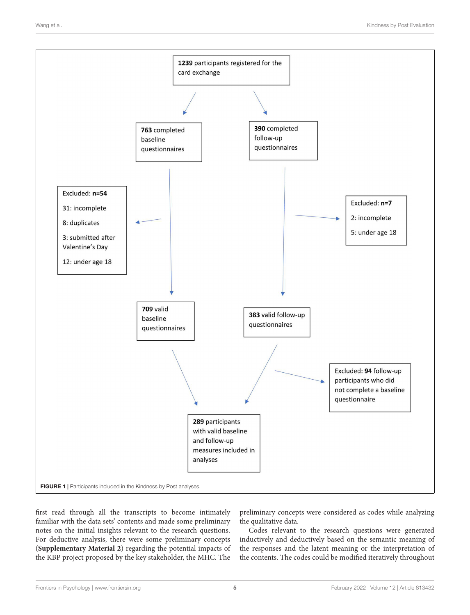

<span id="page-4-0"></span>first read through all the transcripts to become intimately familiar with the data sets' contents and made some preliminary notes on the initial insights relevant to the research questions. For deductive analysis, there were some preliminary concepts (**[Supplementary Material 2](#page-10-0)**) regarding the potential impacts of the KBP project proposed by the key stakeholder, the MHC. The

preliminary concepts were considered as codes while analyzing the qualitative data.

Codes relevant to the research questions were generated inductively and deductively based on the semantic meaning of the responses and the latent meaning or the interpretation of the contents. The codes could be modified iteratively throughout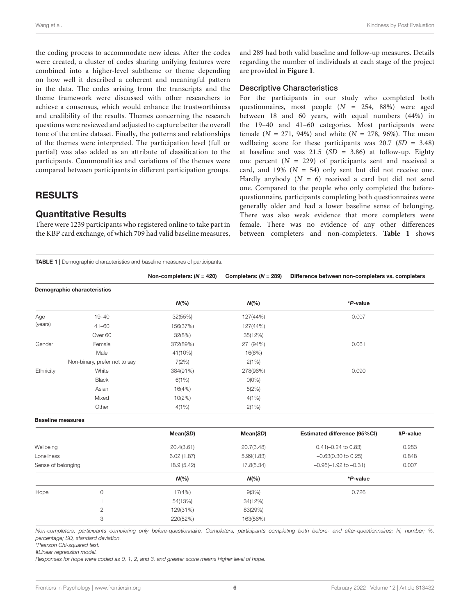the coding process to accommodate new ideas. After the codes were created, a cluster of codes sharing unifying features were combined into a higher-level subtheme or theme depending on how well it described a coherent and meaningful pattern in the data. The codes arising from the transcripts and the theme framework were discussed with other researchers to achieve a consensus, which would enhance the trustworthiness and credibility of the results. Themes concerning the research questions were reviewed and adjusted to capture better the overall tone of the entire dataset. Finally, the patterns and relationships of the themes were interpreted. The participation level (full or partial) was also added as an attribute of classification to the participants. Commonalities and variations of the themes were compared between participants in different participation groups.

# RESULTS

# Quantitative Results

There were 1239 participants who registered online to take part in the KBP card exchange, of which 709 had valid baseline measures,

and 289 had both valid baseline and follow-up measures. Details regarding the number of individuals at each stage of the project are provided in **[Figure 1](#page-4-0)**.

### Descriptive Characteristics

For the participants in our study who completed both questionnaires, most people  $(N = 254, 88%)$  were aged between 18 and 60 years, with equal numbers (44%) in the 19–40 and 41–60 categories. Most participants were female ( $N = 271, 94\%$ ) and white ( $N = 278, 96\%$ ). The mean wellbeing score for these participants was  $20.7$  (SD = 3.48) at baseline and was  $21.5$  (SD = 3.86) at follow-up. Eighty one percent  $(N = 229)$  of participants sent and received a card, and 19% ( $N = 54$ ) only sent but did not receive one. Hardly anybody  $(N = 6)$  received a card but did not send one. Compared to the people who only completed the beforequestionnaire, participants completing both questionnaires were generally older and had a lower baseline sense of belonging. There was also weak evidence that more completers were female. There was no evidence of any other differences between completers and non-completers. **[Table 1](#page-5-0)** shows

<span id="page-5-0"></span>TABLE 1 | Demographic characteristics and baseline measures of participants.

Non-completers: (N = 420) Completers: (N = 289) Difference between non-completers vs. completers

| Demographic characteristics |                               |           |          |          |  |
|-----------------------------|-------------------------------|-----------|----------|----------|--|
|                             |                               | $N(\% )$  | $N(\%)$  | *P-value |  |
| Age                         | $19 - 40$                     | 32(55%)   | 127(44%) | 0.007    |  |
| (years)                     | $41 - 60$                     | 156(37%)  | 127(44%) |          |  |
|                             | Over 60                       | 32(8%)    | 35(12%)  |          |  |
| Gender                      | Female                        | 372(89%)  | 271(94%) | 0.061    |  |
|                             | Male                          | 41(10%)   | 16(6%)   |          |  |
|                             | Non-binary, prefer not to say | 7(2%)     | 2(1%)    |          |  |
| Ethnicity                   | White                         | 384(91%)  | 278(96%) | 0.090    |  |
|                             | <b>Black</b>                  | 6(1%)     | $O(O\%)$ |          |  |
|                             | Asian                         | 16(4%)    | 5(2%)    |          |  |
|                             | Mixed                         | $10(2\%)$ | 4(1%)    |          |  |
|                             | Other                         | $4(1\%)$  | 2(1%)    |          |  |

Baseline measures

|                    |                | Mean(SD)    | Mean(SD)   | Estimated difference (95%CI)   | #P-value |
|--------------------|----------------|-------------|------------|--------------------------------|----------|
| Wellbeing          |                | 20.4(3.61)  | 20.7(3.48) | $0.41(-0.24 \text{ to } 0.83)$ | 0.283    |
| Loneliness         |                | 6.02(1.87)  | 5.99(1.83) | $-0.63(0.30 \text{ to } 0.25)$ | 0.848    |
| Sense of belonging |                | 18.9 (5.42) | 17.8(5.34) | $-0.95(-1.92$ to $-0.31$ )     | 0.007    |
|                    |                | $N(\%)$     | $N(\% )$   | *P-value                       |          |
| Hope               | 0              | 17(4%)      | 9(3%)      | 0.726                          |          |
|                    |                | 54(13%)     | 34(12%)    |                                |          |
|                    | $\overline{2}$ | 129(31%)    | 83(29%)    |                                |          |
|                    | 3              | 220(52%)    | 163(56%)   |                                |          |

Non-completers, participants completing only before-questionnaire. Completers, participants completing both before- and after-questionnaires; N, number; %, percentage; SD, standard deviation.

\*Pearson Chi-squared test.

#Linear regression model.

Responses for hope were coded as 0, 1, 2, and 3, and greater score means higher level of hope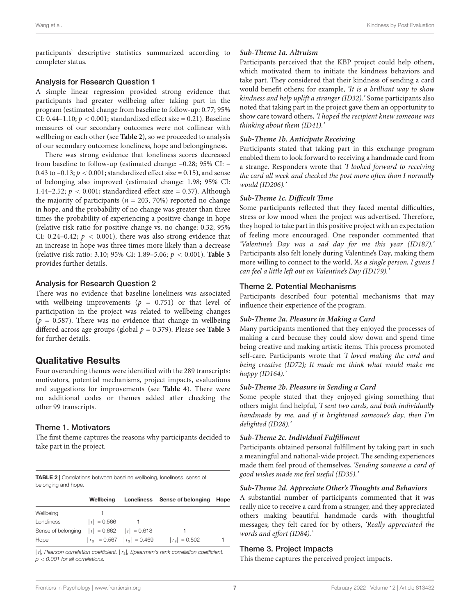participants' descriptive statistics summarized according to completer status.

### Analysis for Research Question 1

A simple linear regression provided strong evidence that participants had greater wellbeing after taking part in the program (estimated change from baseline to follow-up: 0.77; 95% CI: 0.44–1.10;  $p < 0.001$ ; standardized effect size = 0.21). Baseline measures of our secondary outcomes were not collinear with wellbeing or each other (see **[Table 2](#page-6-0)**), so we proceeded to analysis of our secondary outcomes: loneliness, hope and belongingness.

There was strong evidence that loneliness scores decreased from baseline to follow-up (estimated change: –0.28; 95% CI: – 0.43 to  $-0.13$ ;  $p < 0.001$ ; standardized effect size = 0.15), and sense of belonging also improved (estimated change: 1.98; 95% CI: 1.44–2.52;  $p < 0.001$ ; standardized effect size = 0.37). Although the majority of participants ( $n = 203, 70\%$ ) reported no change in hope, and the probability of no change was greater than three times the probability of experiencing a positive change in hope (relative risk ratio for positive change vs. no change: 0.32; 95% CI: 0.24–0.42;  $p < 0.001$ ), there was also strong evidence that an increase in hope was three times more likely than a decrease (relative risk ratio: 3.10; 95% CI: 1.89–5.06; p < 0.001). **[Table 3](#page-7-0)** provides further details.

### Analysis for Research Question 2

There was no evidence that baseline loneliness was associated with wellbeing improvements ( $p = 0.751$ ) or that level of participation in the project was related to wellbeing changes  $(p = 0.587)$ . There was no evidence that change in wellbeing differed across age groups (global  $p = 0.379$ ). Please see **[Table 3](#page-7-0)** for further details.

### Qualitative Results

Four overarching themes were identified with the 289 transcripts: motivators, potential mechanisms, project impacts, evaluations and suggestions for improvements (see **[Table 4](#page-7-1)**). There were no additional codes or themes added after checking the other 99 transcripts.

### Theme 1. Motivators

The first theme captures the reasons why participants decided to take part in the project.

<span id="page-6-0"></span>TABLE 2 | Correlations between baseline wellbeing, loneliness, sense of belonging and hope.

|                                                | Wellbeina     |                                 | Loneliness Sense of belonging | Hope |
|------------------------------------------------|---------------|---------------------------------|-------------------------------|------|
| Wellbeing                                      |               |                                 |                               |      |
| Loneliness                                     | $ r  = 0.566$ |                                 |                               |      |
| Sense of belonging $ r  = 0.662$ $ r  = 0.618$ |               |                                 |                               |      |
| Hope                                           |               | $ r_s  = 0.567$ $ r_s  = 0.469$ | $ r_s  = 0.502$               |      |

 $|r|$ , Pearson correlation coefficient.  $|r_s|$ , Spearman's rank correlation coefficient.  $p < 0.001$  for all correlations.

### **Sub-Theme 1a. Altruism**

Participants perceived that the KBP project could help others, which motivated them to initiate the kindness behaviors and take part. They considered that their kindness of sending a card would benefit others; for example, 'It is a brilliant way to show kindness and help uplift a stranger (ID32).' Some participants also noted that taking part in the project gave them an opportunity to show care toward others, 'I hoped the recipient knew someone was thinking about them (ID41).'

### **Sub-Theme 1b. Anticipate Receiving**

Participants stated that taking part in this exchange program enabled them to look forward to receiving a handmade card from a strange. Responders wrote that 'I looked forward to receiving the card all week and checked the post more often than I normally would (ID206).'

### **Sub-Theme 1c. Difficult Time**

Some participants reflected that they faced mental difficulties, stress or low mood when the project was advertised. Therefore, they hoped to take part in this positive project with an expectation of feeling more encouraged. One responder commented that 'Valentine's Day was a sad day for me this year (ID187).' Participants also felt lonely during Valentine's Day, making them more willing to connect to the world, 'As a single person, I guess I can feel a little left out on Valentine's Day (ID179).'

### Theme 2. Potential Mechanisms

Participants described four potential mechanisms that may influence their experience of the program.

#### **Sub-Theme 2a. Pleasure in Making a Card**

Many participants mentioned that they enjoyed the processes of making a card because they could slow down and spend time being creative and making artistic items. This process promoted self-care. Participants wrote that 'I loved making the card and being creative (ID72); It made me think what would make me happy (ID164).'

#### **Sub-Theme 2b. Pleasure in Sending a Card**

Some people stated that they enjoyed giving something that others might find helpful, 'I sent two cards, and both individually handmade by me, and if it brightened someone's day, then I'm delighted (ID28).'

#### **Sub-Theme 2c. Individual Fulfillment**

Participants obtained personal fulfillment by taking part in such a meaningful and national-wide project. The sending experiences made them feel proud of themselves, 'Sending someone a card of good wishes made me feel useful (ID35).'

#### **Sub-Theme 2d. Appreciate Other's Thoughts and Behaviors**

A substantial number of participants commented that it was really nice to receive a card from a stranger, and they appreciated others making beautiful handmade cards with thoughtful messages; they felt cared for by others, 'Really appreciated the words and effort (ID84).'

### Theme 3. Project Impacts

This theme captures the perceived project impacts.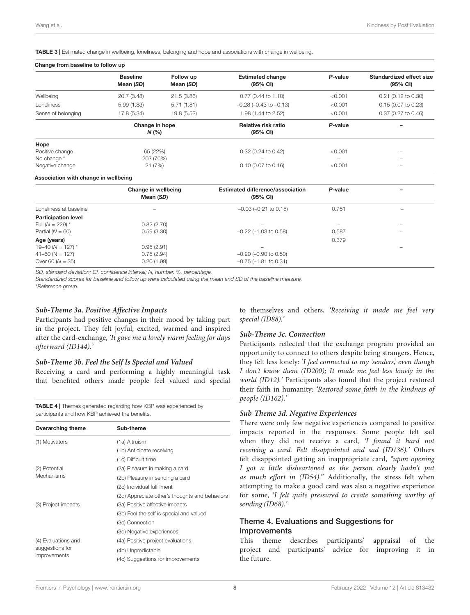<span id="page-7-0"></span>TABLE 3 | Estimated change in wellbeing, loneliness, belonging and hope and associations with change in wellbeing.

#### Change from baseline to follow up

|                    | <b>Baseline</b><br>Mean (SD) | Follow up<br>Mean (SD) | <b>Estimated change</b><br>$(95% \text{ CI})$ | P-value                      | Standardized effect size<br>(95% CI) |
|--------------------|------------------------------|------------------------|-----------------------------------------------|------------------------------|--------------------------------------|
| Wellbeing          | 20.7 (3.48)<br>21.5(3.86)    |                        | $0.77$ (0.44 to 1.10)                         | < 0.001                      | $0.21$ (0.12 to 0.30)                |
| <b>Loneliness</b>  | 5.99(1.83)                   | 5.71(1.81)             | $-0.28$ ( $-0.43$ to $-0.13$ )                | < 0.001                      | $0.15$ (0.07 to 0.23)                |
| Sense of belonging | 17.8 (5.34)                  | 19.8 (5.52)            | 1.98 (1.44 to 2.52)                           | < 0.001                      | 0.37 (0.27 to 0.46)                  |
|                    | Change in hope<br>N(%        |                        | Relative risk ratio<br>$(95% \text{ CI})$     | P-value                      |                                      |
| Hope               |                              |                        |                                               |                              |                                      |
| Positive change    | 65 (22%)                     |                        | $0.32$ (0.24 to 0.42)                         | < 0.001                      | $\overline{\phantom{a}}$             |
| No change *        | 203 (70%)                    |                        | -                                             | $\qquad \qquad \blacksquare$ | -                                    |
| Negative change    | 21(7%)                       |                        | $0.10(0.07)$ to $0.16$                        | < 0.001                      | -                                    |

#### Association with change in wellbeing

|                            | Change in wellbeing<br>Mean (SD) | <b>Estimated difference/association</b><br>$(95% \text{ CI})$ | P-value |  |
|----------------------------|----------------------------------|---------------------------------------------------------------|---------|--|
| Loneliness at baseline     | $\qquad \qquad \blacksquare$     | $-0.03$ $(-0.21$ to $0.15)$                                   | 0.751   |  |
| <b>Participation level</b> |                                  |                                                               |         |  |
| Full ( $N = 229$ ) *       | 0.82(2.70)                       |                                                               |         |  |
| Partial $(N = 60)$         | 0.59(3.30)                       | $-0.22$ ( $-1.03$ to 0.58)                                    | 0.587   |  |
| Age (years)                |                                  |                                                               | 0.379   |  |
| 19–40 (N = 127) $*$        | 0.95(2.91)                       | $\overline{\phantom{a}}$                                      |         |  |
| $41 - 60$ (N = 127)        | 0.75(2.94)                       | $-0.20$ ( $-0.90$ to 0.50)                                    |         |  |
| Over 60 $(N = 35)$         | 0.20(1.99)                       | $-0.75$ ( $-1.81$ to 0.31)                                    |         |  |

SD, standard deviation; CI, confidence interval; N, number. %, percentage.

Standardized scores for baseline and follow up were calculated using the mean and SD of the baseline measure.

\*Reference group.

#### **Sub-Theme 3a. Positive Affective Impacts**

Participants had positive changes in their mood by taking part in the project. They felt joyful, excited, warmed and inspired after the card-exchange, 'It gave me a lovely warm feeling for days afterward (ID144).'

#### **Sub-Theme 3b. Feel the Self Is Special and Valued**

Receiving a card and performing a highly meaningful task that benefited others made people feel valued and special

<span id="page-7-1"></span>TABLE 4 | Themes generated regarding how KBP was experienced by participants and how KBP achieved the benefits.

| <b>Overarching theme</b> | Sub-theme                                      |  |  |
|--------------------------|------------------------------------------------|--|--|
| (1) Motivators           | (1a) Altruism                                  |  |  |
|                          | (1b) Anticipate receiving                      |  |  |
|                          | (1c) Difficult time                            |  |  |
| (2) Potential            | (2a) Pleasure in making a card                 |  |  |
| Mechanisms               | (2b) Pleasure in sending a card                |  |  |
|                          | (2c) Individual fulfillment                    |  |  |
|                          | (2d) Appreciate other's thoughts and behaviors |  |  |
| (3) Project impacts      | (3a) Positive affective impacts                |  |  |
|                          | (3b) Feel the self is special and valued       |  |  |
|                          | (3c) Connection                                |  |  |
|                          | (3d) Negative experiences                      |  |  |
| (4) Evaluations and      | (4a) Positive project evaluations              |  |  |
| suggestions for          | (4b) Unpredictable                             |  |  |
| improvements             | (4c) Suggestions for improvements              |  |  |

to themselves and others, 'Receiving it made me feel very special (ID88).'

#### **Sub-Theme 3c. Connection**

Participants reflected that the exchange program provided an opportunity to connect to others despite being strangers. Hence, they felt less lonely: 'I feel connected to my 'senders,' even though I don't know them (ID200); It made me feel less lonely in the world (ID12).' Participants also found that the project restored their faith in humanity: 'Restored some faith in the kindness of people (ID162).'

#### **Sub-Theme 3d. Negative Experiences**

There were only few negative experiences compared to positive impacts reported in the responses. Some people felt sad when they did not receive a card, 'I found it hard not receiving a card. Felt disappointed and sad (ID136).' Others felt disappointed getting an inappropriate card, "upon opening I got a little disheartened as the person clearly hadn't put as much effort in (ID54)." Additionally, the stress felt when attempting to make a good card was also a negative experience for some, 'I felt quite pressured to create something worthy of sending (ID68).'

### Theme 4. Evaluations and Suggestions for Improvements

This theme describes participants' appraisal of the project and participants' advice for improving it in the future.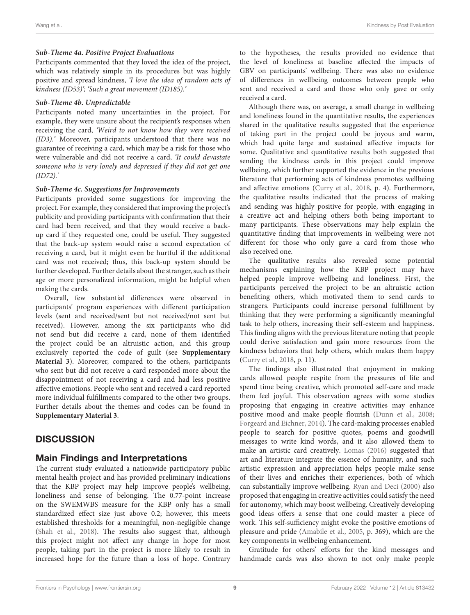#### **Sub-Theme 4a. Positive Project Evaluations**

Participants commented that they loved the idea of the project, which was relatively simple in its procedures but was highly positive and spread kindness, 'I love the idea of random acts of kindness (ID53)'; 'Such a great movement (ID185).'

#### **Sub-Theme 4b. Unpredictable**

Participants noted many uncertainties in the project. For example, they were unsure about the recipient's responses when receiving the card, 'Weird to not know how they were received (ID3).' Moreover, participants understood that there was no guarantee of receiving a card, which may be a risk for those who were vulnerable and did not receive a card, 'It could devastate someone who is very lonely and depressed if they did not get one (ID72).'

#### **Sub-Theme 4c. Suggestions for Improvements**

Participants provided some suggestions for improving the project. For example, they considered that improving the project's publicity and providing participants with confirmation that their card had been received, and that they would receive a backup card if they requested one, could be useful. They suggested that the back-up system would raise a second expectation of receiving a card, but it might even be hurtful if the additional card was not received; thus, this back-up system should be further developed. Further details about the stranger, such as their age or more personalized information, might be helpful when making the cards.

Overall, few substantial differences were observed in participants' program experiences with different participation levels (sent and received/sent but not received/not sent but received). However, among the six participants who did not send but did receive a card, none of them identified the project could be an altruistic action, and this group exclusively reported the code of guilt (see **[Supplementary](#page-10-0) [Material 3](#page-10-0)**). Moreover, compared to the others, participants who sent but did not receive a card responded more about the disappointment of not receiving a card and had less positive affective emotions. People who sent and received a card reported more individual fulfillments compared to the other two groups. Further details about the themes and codes can be found in **[Supplementary Material 3](#page-10-0)**.

# **DISCUSSION**

# Main Findings and Interpretations

The current study evaluated a nationwide participatory public mental health project and has provided preliminary indications that the KBP project may help improve people's wellbeing, loneliness and sense of belonging. The 0.77-point increase on the SWEMWBS measure for the KBP only has a small standardized effect size just above 0.2; however, this meets established thresholds for a meaningful, non-negligible change [\(Shah et al.,](#page-12-11) [2018\)](#page-12-11). The results also suggest that, although this project might not affect any change in hope for most people, taking part in the project is more likely to result in increased hope for the future than a loss of hope. Contrary to the hypotheses, the results provided no evidence that the level of loneliness at baseline affected the impacts of GBV on participants' wellbeing. There was also no evidence of differences in wellbeing outcomes between people who sent and received a card and those who only gave or only received a card.

Although there was, on average, a small change in wellbeing and loneliness found in the quantitative results, the experiences shared in the qualitative results suggested that the experience of taking part in the project could be joyous and warm, which had quite large and sustained affective impacts for some. Qualitative and quantitative results both suggested that sending the kindness cards in this project could improve wellbeing, which further supported the evidence in the previous literature that performing acts of kindness promotes wellbeing and affective emotions [\(Curry et al.,](#page-11-15) [2018,](#page-11-15) p. 4). Furthermore, the qualitative results indicated that the process of making and sending was highly positive for people, with engaging in a creative act and helping others both being important to many participants. These observations may help explain the quantitative finding that improvements in wellbeing were not different for those who only gave a card from those who also received one.

The qualitative results also revealed some potential mechanisms explaining how the KBP project may have helped people improve wellbeing and loneliness. First, the participants perceived the project to be an altruistic action benefiting others, which motivated them to send cards to strangers. Participants could increase personal fulfillment by thinking that they were performing a significantly meaningful task to help others, increasing their self-esteem and happiness. This finding aligns with the previous literature noting that people could derive satisfaction and gain more resources from the kindness behaviors that help others, which makes them happy [\(Curry et al.,](#page-11-15) [2018,](#page-11-15) p. 11).

The findings also illustrated that enjoyment in making cards allowed people respite from the pressures of life and spend time being creative, which promoted self-care and made them feel joyful. This observation agrees with some studies proposing that engaging in creative activities may enhance positive mood and make people flourish [\(Dunn et al.,](#page-11-20) [2008;](#page-11-20) [Forgeard and Eichner,](#page-11-29) [2014\)](#page-11-29). The card-making processes enabled people to search for positive quotes, poems and goodwill messages to write kind words, and it also allowed them to make an artistic card creatively. [Lomas](#page-11-30) [\(2016\)](#page-11-30) suggested that art and literature integrate the essence of humanity, and such artistic expression and appreciation helps people make sense of their lives and enriches their experiences, both of which can substantially improve wellbeing. [Ryan and Deci](#page-12-12) [\(2000\)](#page-12-12) also proposed that engaging in creative activities could satisfy the need for autonomy, which may boost wellbeing. Creatively developing good ideas offers a sense that one could master a piece of work. This self-sufficiency might evoke the positive emotions of pleasure and pride [\(Amabile et al.,](#page-11-31) [2005,](#page-11-31) p. 369), which are the key components in wellbeing enhancement.

Gratitude for others' efforts for the kind messages and handmade cards was also shown to not only make people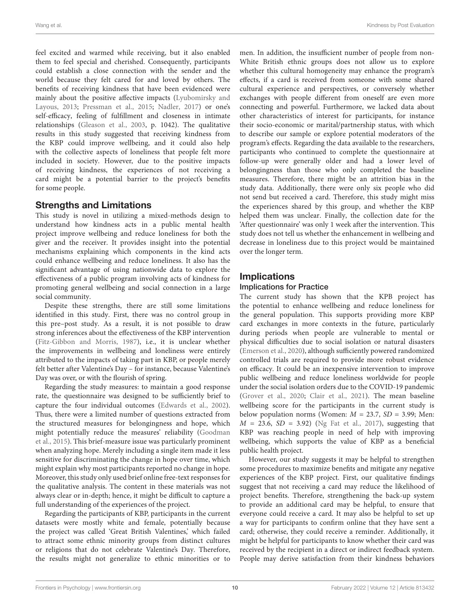feel excited and warmed while receiving, but it also enabled them to feel special and cherished. Consequently, participants could establish a close connection with the sender and the world because they felt cared for and loved by others. The benefits of receiving kindness that have been evidenced were mainly about the positive affective impacts [\(Lyubomirsky and](#page-11-32) [Layous,](#page-11-32) [2013;](#page-11-32) [Pressman et al.,](#page-12-7) [2015;](#page-12-7) [Nadler,](#page-11-33) [2017\)](#page-11-33) or one's self-efficacy, feeling of fulfillment and closeness in intimate relationships [\(Gleason et al.,](#page-11-34) [2003,](#page-11-34) p. 1042). The qualitative results in this study suggested that receiving kindness from the KBP could improve wellbeing, and it could also help with the collective aspects of loneliness that people felt more included in society. However, due to the positive impacts of receiving kindness, the experiences of not receiving a card might be a potential barrier to the project's benefits for some people.

### Strengths and Limitations

This study is novel in utilizing a mixed-methods design to understand how kindness acts in a public mental health project improve wellbeing and reduce loneliness for both the giver and the receiver. It provides insight into the potential mechanisms explaining which components in the kind acts could enhance wellbeing and reduce loneliness. It also has the significant advantage of using nationwide data to explore the effectiveness of a public program involving acts of kindness for promoting general wellbeing and social connection in a large social community.

Despite these strengths, there are still some limitations identified in this study. First, there was no control group in this pre–post study. As a result, it is not possible to draw strong inferences about the effectiveness of the KBP intervention [\(Fitz-Gibbon and Morris,](#page-11-35) [1987\)](#page-11-35), i.e., it is unclear whether the improvements in wellbeing and loneliness were entirely attributed to the impacts of taking part in KBP, or people merely felt better after Valentine's Day – for instance, because Valentine's Day was over, or with the flourish of spring.

Regarding the study measures: to maintain a good response rate, the questionnaire was designed to be sufficiently brief to capture the four individual outcomes [\(Edwards et al.,](#page-11-36) [2002\)](#page-11-36). Thus, there were a limited number of questions extracted from the structured measures for belongingness and hope, which might potentially reduce the measures' reliability [\(Goodman](#page-11-37) [et al.,](#page-11-37) [2015\)](#page-11-37). This brief-measure issue was particularly prominent when analyzing hope. Merely including a single item made it less sensitive for discriminating the change in hope over time, which might explain why most participants reported no change in hope. Moreover, this study only used brief online free-text responses for the qualitative analysis. The content in these materials was not always clear or in-depth; hence, it might be difficult to capture a full understanding of the experiences of the project.

Regarding the participants of KBP, participants in the current datasets were mostly white and female, potentially because the project was called 'Great British Valentines,' which failed to attract some ethnic minority groups from distinct cultures or religions that do not celebrate Valentine's Day. Therefore, the results might not generalize to ethnic minorities or to

men. In addition, the insufficient number of people from non-White British ethnic groups does not allow us to explore whether this cultural homogeneity may enhance the program's effects, if a card is received from someone with some shared cultural experience and perspectives, or conversely whether exchanges with people different from oneself are even more connecting and powerful. Furthermore, we lacked data about other characteristics of interest for participants, for instance their socio-economic or marital/partnership status, with which to describe our sample or explore potential moderators of the program's effects. Regarding the data available to the researchers, participants who continued to complete the questionnaire at follow-up were generally older and had a lower level of belongingness than those who only completed the baseline measures. Therefore, there might be an attrition bias in the study data. Additionally, there were only six people who did not send but received a card. Therefore, this study might miss the experiences shared by this group, and whether the KBP helped them was unclear. Finally, the collection date for the 'After questionnaire' was only 1 week after the intervention. This study does not tell us whether the enhancement in wellbeing and decrease in loneliness due to this project would be maintained over the longer term.

# **Implications**

### Implications for Practice

The current study has shown that the KPB project has the potential to enhance wellbeing and reduce loneliness for the general population. This supports providing more KBP card exchanges in more contexts in the future, particularly during periods when people are vulnerable to mental or physical difficulties due to social isolation or natural disasters [\(Emerson et al.,](#page-11-22) [2020\)](#page-11-22), although sufficiently powered randomized controlled trials are required to provide more robust evidence on efficacy. It could be an inexpensive intervention to improve public wellbeing and reduce loneliness worldwide for people under the social isolation orders due to the COVID-19 pandemic [\(Grover et al.,](#page-11-38) [2020;](#page-11-38) [Clair et al.,](#page-11-39) [2021\)](#page-11-39). The mean baseline wellbeing score for the participants in the current study is below population norms (Women:  $M = 23.7$ ,  $SD = 3.99$ ; Men:  $M = 23.6$ ,  $SD = 3.92$ ) [\(Ng Fat et al.,](#page-11-40) [2017\)](#page-11-40), suggesting that KBP was reaching people in need of help with improving wellbeing, which supports the value of KBP as a beneficial public health project.

However, our study suggests it may be helpful to strengthen some procedures to maximize benefits and mitigate any negative experiences of the KBP project. First, our qualitative findings suggest that not receiving a card may reduce the likelihood of project benefits. Therefore, strengthening the back-up system to provide an additional card may be helpful, to ensure that everyone could receive a card. It may also be helpful to set up a way for participants to confirm online that they have sent a card; otherwise, they could receive a reminder. Additionally, it might be helpful for participants to know whether their card was received by the recipient in a direct or indirect feedback system. People may derive satisfaction from their kindness behaviors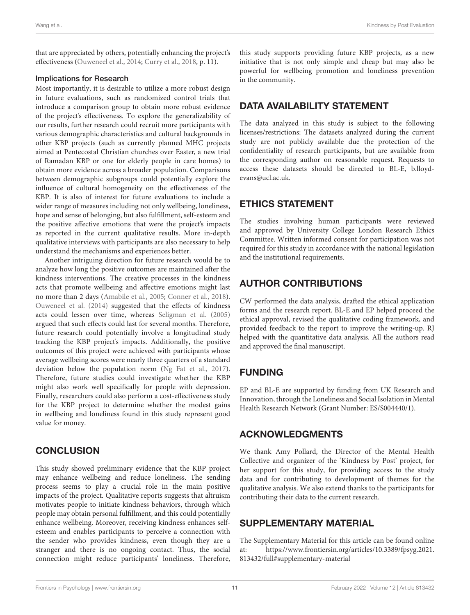that are appreciated by others, potentially enhancing the project's effectiveness [\(Ouweneel et al.,](#page-11-13) [2014;](#page-11-13) [Curry et al.,](#page-11-15) [2018,](#page-11-15) p. 11).

#### Implications for Research

Most importantly, it is desirable to utilize a more robust design in future evaluations, such as randomized control trials that introduce a comparison group to obtain more robust evidence of the project's effectiveness. To explore the generalizability of our results, further research could recruit more participants with various demographic characteristics and cultural backgrounds in other KBP projects (such as currently planned MHC projects aimed at Pentecostal Christian churches over Easter, a new trial of Ramadan KBP or one for elderly people in care homes) to obtain more evidence across a broader population. Comparisons between demographic subgroups could potentially explore the influence of cultural homogeneity on the effectiveness of the KBP. It is also of interest for future evaluations to include a wider range of measures including not only wellbeing, loneliness, hope and sense of belonging, but also fulfillment, self-esteem and the positive affective emotions that were the project's impacts as reported in the current qualitative results. More in-depth qualitative interviews with participants are also necessary to help understand the mechanisms and experiences better.

Another intriguing direction for future research would be to analyze how long the positive outcomes are maintained after the kindness interventions. The creative processes in the kindness acts that promote wellbeing and affective emotions might last no more than 2 days [\(Amabile et al.,](#page-11-31) [2005;](#page-11-31) [Conner et al.,](#page-11-19) [2018\)](#page-11-19). [Ouweneel et al.](#page-11-13) [\(2014\)](#page-11-13) suggested that the effects of kindness acts could lessen over time, whereas [Seligman et al.](#page-12-13) [\(2005\)](#page-12-13) argued that such effects could last for several months. Therefore, future research could potentially involve a longitudinal study tracking the KBP project's impacts. Additionally, the positive outcomes of this project were achieved with participants whose average wellbeing scores were nearly three quarters of a standard deviation below the population norm [\(Ng Fat et al.,](#page-11-40) [2017\)](#page-11-40). Therefore, future studies could investigate whether the KBP might also work well specifically for people with depression. Finally, researchers could also perform a cost-effectiveness study for the KBP project to determine whether the modest gains in wellbeing and loneliness found in this study represent good value for money.

# **CONCLUSION**

This study showed preliminary evidence that the KBP project may enhance wellbeing and reduce loneliness. The sending process seems to play a crucial role in the main positive impacts of the project. Qualitative reports suggests that altruism motivates people to initiate kindness behaviors, through which people may obtain personal fulfillment, and this could potentially enhance wellbeing. Moreover, receiving kindness enhances selfesteem and enables participants to perceive a connection with the sender who provides kindness, even though they are a stranger and there is no ongoing contact. Thus, the social connection might reduce participants' loneliness. Therefore,

this study supports providing future KBP projects, as a new initiative that is not only simple and cheap but may also be powerful for wellbeing promotion and loneliness prevention in the community.

# DATA AVAILABILITY STATEMENT

The data analyzed in this study is subject to the following licenses/restrictions: The datasets analyzed during the current study are not publicly available due the protection of the confidentiality of research participants, but are available from the corresponding author on reasonable request. Requests to access these datasets should be directed to BL-E, [b.lloyd](mailto:b.lloyd-evans@ucl.ac.uk)[evans@ucl.ac.uk.](mailto:b.lloyd-evans@ucl.ac.uk)

# ETHICS STATEMENT

The studies involving human participants were reviewed and approved by University College London Research Ethics Committee. Written informed consent for participation was not required for this study in accordance with the national legislation and the institutional requirements.

# AUTHOR CONTRIBUTIONS

CW performed the data analysis, drafted the ethical application forms and the research report. BL-E and EP helped proceed the ethical approval, revised the qualitative coding framework, and provided feedback to the report to improve the writing-up. RJ helped with the quantitative data analysis. All the authors read and approved the final manuscript.

# FUNDING

EP and BL-E are supported by funding from UK Research and Innovation, through the Loneliness and Social Isolation in Mental Health Research Network (Grant Number: ES/S004440/1).

# ACKNOWLEDGMENTS

We thank Amy Pollard, the Director of the Mental Health Collective and organizer of the 'Kindness by Post' project, for her support for this study, for providing access to the study data and for contributing to development of themes for the qualitative analysis. We also extend thanks to the participants for contributing their data to the current research.

# <span id="page-10-0"></span>SUPPLEMENTARY MATERIAL

The Supplementary Material for this article can be found online at: [https://www.frontiersin.org/articles/10.3389/fpsyg.2021.](https://www.frontiersin.org/articles/10.3389/fpsyg.2021.813432/full#supplementary-material) [813432/full#supplementary-material](https://www.frontiersin.org/articles/10.3389/fpsyg.2021.813432/full#supplementary-material)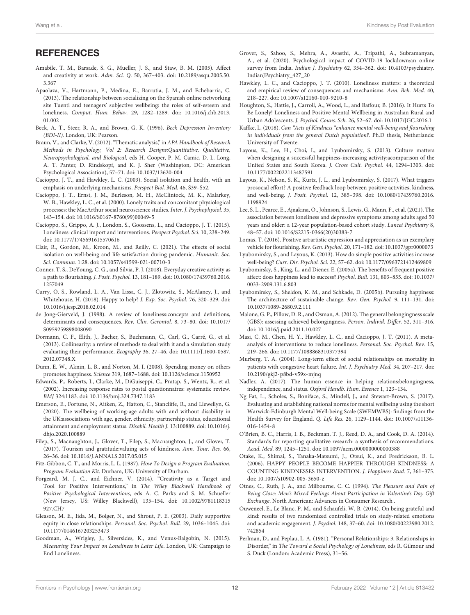# **REFERENCES**

- <span id="page-11-31"></span>Amabile, T. M., Barsade, S. G., Mueller, J. S., and Staw, B. M. (2005). Affect and creativity at work. Adm. Sci. Q. 50, 367–403. [doi: 10.2189/asqu.2005.50.](https://doi.org/10.2189/asqu.2005.50.3.367) [3.367](https://doi.org/10.2189/asqu.2005.50.3.367)
- <span id="page-11-9"></span>Apaolaza, V., Hartmann, P., Medina, E., Barrutia, J. M., and Echebarria, C. (2013). The relationship between socializing on the Spanish online networking site Tuenti and teenagers' subjective wellbeing: the roles of self-esteem and loneliness. Comput. Hum. Behav. 29, 1282–1289. [doi: 10.1016/j.chb.2013.](https://doi.org/10.1016/j.chb.2013.01.002) [01.002](https://doi.org/10.1016/j.chb.2013.01.002)
- <span id="page-11-25"></span>Beck, A. T., Steer, R. A., and Brown, G. K. (1996). Beck Depression Inventory (BDI-II). London, UK: Pearson.
- <span id="page-11-28"></span>Braun, V., and Clarke, V. (2012). "Thematic analysis," in APA Handbook of Research Methods in Psychology, Vol 2: Research Designs:Quantitative, Qualitative, Neuropsychological, and Biological, eds H. Cooper, P. M. Camic, D. L. Long, A. T. Panter, D. Rindskopf, and K. J. Sher (Washington, DC: American Psychological Association), 57–71. [doi: 10.1037/13620-004](https://doi.org/10.1037/13620-004)
- <span id="page-11-4"></span>Cacioppo, J. T., and Hawkley, L. C. (2003). Social isolation and health, with an emphasis on underlying mechanisms. Perspect Biol. Med. 46, S39–S52.
- <span id="page-11-8"></span>Cacioppo, J. T., Ernst, J. M., Burleson, M. H., McClintock, M. K., Malarkey, W. B., Hawkley, L. C., et al. (2000). Lonely traits and concomitant physiological processes: the MacArthur social neuroscience studies. Inter. J. Psychophysiol. 35, 143–154. [doi: 10.1016/S0167-8760\(99\)00049-5](https://doi.org/10.1016/S0167-8760(99)00049-5)
- <span id="page-11-3"></span>Cacioppo, S., Grippo, A. J., London, S., Goossens, L., and Cacioppo, J. T. (2015). Loneliness: clinical import and interventions. Perspect Psychol. Sci. 10, 238–249. [doi: 10.1177/1745691615570616](https://doi.org/10.1177/1745691615570616)
- <span id="page-11-39"></span>Clair, R., Gordon, M., Kroon, M., and Reilly, C. (2021). The effects of social isolation on well-being and life satisfaction during pandemic. Humanit. Soc. Sci. Commun. 1:28. [doi: 10.1057/s41599-021-00710-3](https://doi.org/10.1057/s41599-021-00710-3)
- <span id="page-11-19"></span>Conner, T. S., DeYoung, C. G., and Silvia, P. J. (2018). Everyday creative activity as a path to flourishing. J. Posit. Psychol. 13, 181–189. [doi: 10.1080/17439760.2016.](https://doi.org/10.1080/17439760.2016.1257049) [1257049](https://doi.org/10.1080/17439760.2016.1257049)
- <span id="page-11-15"></span>Curry, O. S., Rowland, L. A., Van Lissa, C. J., Zlotowitz, S., McAlaney, J., and Whitehouse, H. (2018). Happy to help? J. Exp. Soc. Psychol. 76, 320–329. [doi:](https://doi.org/10.1016/j.jesp.2018.02.014) [10.1016/j.jesp.2018.02.014](https://doi.org/10.1016/j.jesp.2018.02.014)
- <span id="page-11-2"></span>de Jong-Gierveld, J. (1998). A review of loneliness:concepts and definitions, determinants and consequences. Rev. Clin. Gerontol. 8, 73–80. [doi: 10.1017/](https://doi.org/10.1017/S0959259898008090) [S0959259898008090](https://doi.org/10.1017/S0959259898008090)
- <span id="page-11-26"></span>Dormann, C. F., Elith, J., Bacher, S., Buchmann, C., Carl, G., Carré, G., et al. (2013). Collinearity: a review of methods to deal with it and a simulation study evaluating their performance. Ecography 36, 27–46. [doi: 10.1111/J.1600-0587.](https://doi.org/10.1111/J.1600-0587.2012.07348.X) [2012.07348.X](https://doi.org/10.1111/J.1600-0587.2012.07348.X)
- <span id="page-11-20"></span>Dunn, E. W., Aknin, L. B., and Norton, M. I. (2008). Spending money on others promotes happiness. Science 319, 1687–1688. [doi: 10.1126/science.1150952](https://doi.org/10.1126/science.1150952)
- <span id="page-11-36"></span>Edwards, P., Roberts, I., Clarke, M., DiGuiseppi, C., Pratap, S., Wentz, R., et al. (2002). Increasing response rates to postal questionnaires: systematic review. BMJ 324:1183. [doi: 10.1136/bmj.324.7347.1183](https://doi.org/10.1136/bmj.324.7347.1183)
- <span id="page-11-22"></span>Emerson, E., Fortune, N., Aitken, Z., Hatton, C., Stancliffe, R., and Llewellyn, G. (2020). The wellbeing of working-age adults with and without disability in the UK:associations with age, gender, ethnicity, partnership status, educational attainment and employment status. Disabil. Health J. 13:100889. [doi: 10.1016/j.](https://doi.org/10.1016/j.dhjo.2020.100889) [dhjo.2020.100889](https://doi.org/10.1016/j.dhjo.2020.100889)
- <span id="page-11-18"></span>Filep, S., Macnaughton, J., Glover, T., Filep, S., Macnaughton, J., and Glover, T. (2017). Tourism and gratitude:valuing acts of kindness. Ann. Tour. Res. 66, 26–36. [doi: 10.1016/J.ANNALS.2017.05.015](https://doi.org/10.1016/J.ANNALS.2017.05.015)
- <span id="page-11-35"></span>Fitz-Gibbon, C. T., and Morris, L. L. (1987). How To Design a Program Evaluation. Program Evaluation Kit. Durham, UK: University of Durham.
- <span id="page-11-29"></span>Forgeard, M. J. C., and Eichner, V. (2014). "Creativity as a Target and Tool for Positive Interventions," in The Wiley Blackwell Handbook of Positive Psychological Interventions, eds A. C. Parks and S. M. Schueller (New Jersey, US: Willey Blackwell), 135–154. [doi: 10.1002/9781118315](https://doi.org/10.1002/9781118315927.CH7) [927.CH7](https://doi.org/10.1002/9781118315927.CH7)
- <span id="page-11-34"></span>Gleason, M. E., Iida, M., Bolger, N., and Shrout, P. E. (2003). Daily supportive equity in close relationships. Personal. Soc. Psychol. Bull. 29, 1036–1045. [doi:](https://doi.org/10.1177/0146167203253473) [10.1177/0146167203253473](https://doi.org/10.1177/0146167203253473)
- <span id="page-11-37"></span>Goodman, A., Wrigley, J., Silversides, K., and Venus-Balgobin, N. (2015). Measuring Your Impact on Loneliness in Later Life. London, UK: Campaign to End Loneliness.
- <span id="page-11-38"></span>Grover, S., Sahoo, S., Mehra, A., Avasthi, A., Tripathi, A., Subramanyan, A., et al. (2020). Psychological impact of COVID-19 lockdown:an online survey from India. Indian J. Psychiatry 62, 354–362. [doi: 10.4103/psychiatry.](https://doi.org/10.4103/psychiatry.IndianJPsychiatry_427_20) [IndianJPsychiatry\\_427\\_20](https://doi.org/10.4103/psychiatry.IndianJPsychiatry_427_20)
- <span id="page-11-6"></span>Hawkley, L. C., and Cacioppo, J. T. (2010). Loneliness matters: a theoretical and empirical review of consequences and mechanisms. Ann. Beh. Med. 40, 218–227. [doi: 10.1007/s12160-010-9210-8](https://doi.org/10.1007/s12160-010-9210-8)
- <span id="page-11-21"></span>Houghton, S., Hattie, J., Carroll, A., Wood, L., and Baffour, B. (2016). It Hurts To Be Lonely! Loneliness and Positive Mental Wellbeing in Australian Rural and Urban Adolescents. J. Psychol. Couns. Sch. 26, 52–67. [doi: 10.1017/JGC.2016.1](https://doi.org/10.1017/JGC.2016.1)
- <span id="page-11-16"></span>Kaffke, L. (2018). Can "Acts of Kindness "enhance mental well-being and flourishing in individuals from the general Dutch population?. Ph.D thesis, Netherlands: University of Twente.
- <span id="page-11-12"></span>Layous, K., Lee, H., Choi, I., and Lyubomirsky, S. (2013). Culture matters when designing a successful happiness-increasing activity:acomparison of the United States and South Korea. J. Cross Cult. Psychol. 44, 1294–1303. [doi:](https://doi.org/10.1177/0022022113487591) [10.1177/0022022113487591](https://doi.org/10.1177/0022022113487591)
- <span id="page-11-14"></span>Layous, K., Nelson, S. K., Kurtz, J. L., and Lyubomirsky, S. (2017). What triggers prosocial effort? A positive feedback loop between positive activities, kindness, and well-being. J. Posit. Psychol. 12, 385–398. [doi: 10.1080/17439760.2016.](https://doi.org/10.1080/17439760.2016.1198924) [1198924](https://doi.org/10.1080/17439760.2016.1198924)
- <span id="page-11-7"></span>Lee, S. L., Pearce, E., Ajnakina, O., Johnson, S., Lewis, G., Mann, F., et al. (2021). The association between loneliness and depressive symptoms among adults aged 50 years and older: a 12-year population-based cohort study. Lancet Psychiatry 8, 48–57. [doi: 10.1016/S2215-0366\(20\)30383-7](https://doi.org/10.1016/S2215-0366(20)30383-7)
- <span id="page-11-30"></span>Lomas, T. (2016). Positive art:artistic expression and appreciation as an exemplary vehicle for flourishing. Rev. Gen. Psychol. 20, 171–182. [doi: 10.1037/gpr0000073](https://doi.org/10.1037/gpr0000073)
- <span id="page-11-32"></span>Lyubomirsky, S., and Layous, K. (2013). How do simple positive activities increase well-being? Curr. Dir. Psychol. Sci. 22, 57–62. [doi: 10.1177/0963721412469809](https://doi.org/10.1177/0963721412469809)
- <span id="page-11-0"></span>Lyubomirsky, S., King, L., and Diener, E. (2005a). The benefits of frequent positive affect: does happiness lead to success? Psychol. Bull. 131, 803–855. [doi: 10.1037/](https://doi.org/10.1037/0033-2909.131.6.803) [0033-2909.131.6.803](https://doi.org/10.1037/0033-2909.131.6.803)
- <span id="page-11-17"></span>Lyubomirsky, S., Sheldon, K. M., and Schkade, D. (2005b). Pursuing happiness: The architecture of sustainable change. Rev. Gen. Psychol. 9, 111–131. [doi:](https://doi.org/10.1037/1089-2680.9.2.111) [10.1037/1089-2680.9.2.111](https://doi.org/10.1037/1089-2680.9.2.111)
- <span id="page-11-24"></span>Malone, G. P., Pillow, D. R., and Osman, A. (2012). The general belongingness scale (GBS): assessing achieved belongingness. Person. Individ. Differ. 52, 311–316. [doi: 10.1016/j.paid.2011.10.027](https://doi.org/10.1016/j.paid.2011.10.027)
- <span id="page-11-10"></span>Masi, C. M., Chen, H. Y., Hawkley, L. C., and Cacioppo, J. T. (2011). A metaanalysis of interventions to reduce loneliness. Personal. Soc. Psychol. Rev. 15, 219–266. [doi: 10.1177/1088868310377394](https://doi.org/10.1177/1088868310377394)
- <span id="page-11-5"></span>Murberg, T. A. (2004). Long-term effect of social relationships on mortality in patients with congestive heart failure. Int. J. Psychiatry Med. 34, 207–217. [doi:](https://doi.org/10.2190/gkj2-p8bd-v59x-mjnq) [10.2190/gkj2-p8bd-v59x-mjnq](https://doi.org/10.2190/gkj2-p8bd-v59x-mjnq)
- <span id="page-11-33"></span>Nadler, A. (2017). The human essence in helping relations:belongingness, independence, and status. Oxford Handb. Hum. Essence 1, 123–134.
- <span id="page-11-40"></span>Ng Fat, L., Scholes, S., Boniface, S., Mindell, J., and Stewart-Brown, S. (2017). Evaluating and establishing national norms for mental wellbeing using the short Warwick-Edinburgh Mental Well-being Scale (SWEMWBS): findings from the Health Survey for England. Q. Life Res. 26, 1129–1144. [doi: 10.1007/s11136-](https://doi.org/10.1007/s11136-016-1454-8) [016-1454-8](https://doi.org/10.1007/s11136-016-1454-8)
- <span id="page-11-27"></span>O'Brien, B. C., Harris, I. B., Beckman, T. J., Reed, D. A., and Cook, D. A. (2014). Standards for reporting qualitative research: a synthesis of recommendations. Acad. Med. 89, 1245–1251. [doi: 10.1097/acm.0000000000000388](https://doi.org/10.1097/acm.0000000000000388)
- <span id="page-11-11"></span>Otake, K., Shimai, S., Tanaka-Matsumi, J., Otsui, K., and Fredrickson, B. L. (2006). HAPPY PEOPLE BECOME HAPPIER THROUGH KINDNESS: A COUNTING KINDNESSES INTERVENTION. J. Happiness Stud. 7, 361–375. [doi: 10.1007/s10902-005-3650-z](https://doi.org/10.1007/s10902-005-3650-z)
- <span id="page-11-23"></span>Otnes, C., Ruth, J. A., and Milbourne, C. C. (1994). The Pleasure and Pain of Being Close: Men's Mixed Feelings About Participation in Valentine's Day Gift Exchange. North American: Advances in Consumer Research .
- <span id="page-11-13"></span>Ouweneel, E., Le Blanc, P. M., and Schaufeli, W. B. (2014). On being grateful and kind: results of two randomized controlled trials on study-related emotions and academic engagement. J. Psychol. 148, 37–60. [doi: 10.1080/00223980.2012.](https://doi.org/10.1080/00223980.2012.742854) [742854](https://doi.org/10.1080/00223980.2012.742854)
- <span id="page-11-1"></span>Perlman, D., and Peplau, L. A. (1981). "Personal Relationships: 3. Relationships in Disorder," in The Toward a Social Psychology of Loneliness, eds R. Gilmour and S. Duck (London: Academic Press), 31–56.